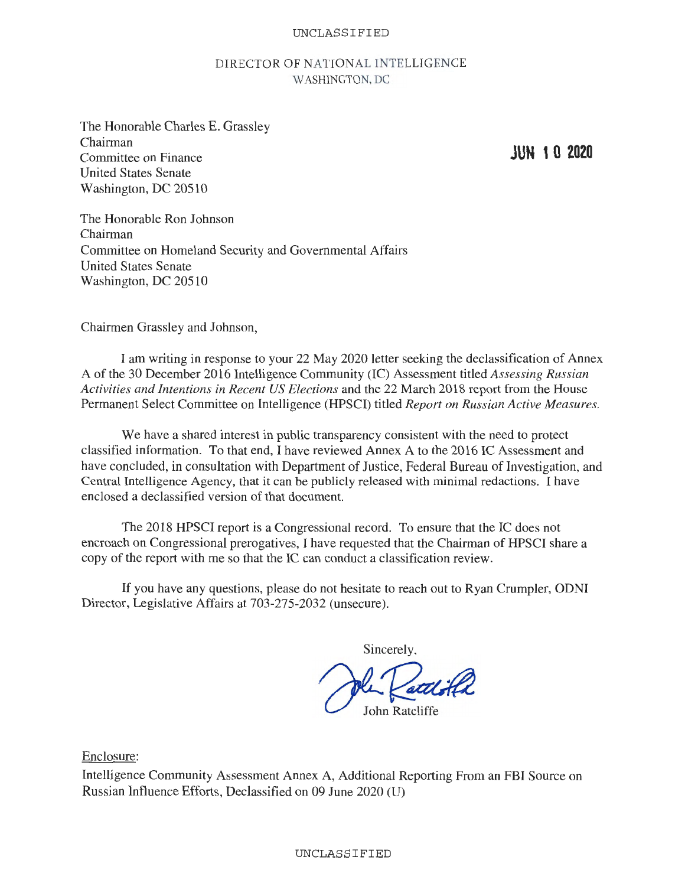UNCLASSIFIED

## DIRECTOR OF NATIONAL INTELLIGENCE WASHINGTON, DC

The Honorable Charles E. Grassley Chairman Committee on Finance United States Senate Washington, DC 20510

**JUN 1 O 2020** 

The Honorable Ron Johnson Chairman Committee on Homeland Security and Governmental Affairs United States Senate Washington, DC 20510

Chairmen Grassley and Johnson,

I am writing in response to your 22 May 2020 letter seeking the declassification of Annex A of the 30 December 2016 Intelligence Community (IC) Assessment titled *Assessing Russian Activities and Intentions in Recent US Elections* and the 22 March 2018 report from the House Permanent Select Committee on Intelligence (HPSCI) titled *Report on Russian Active Measures.* 

We have a shared interest in public transparency consistent with the need to protect classified information. To that end, I have reviewed Annex A to the 2016 IC Assessment and have concluded, in consultation with Department of Justice, Federal Bureau of Investigation, and Central Intelligence Agency, that it can be publicly released with minimal redactions. I have enclosed a declassified version of that document.

The 2018 HPSCI report is a Congressional record. To ensure that the IC does not encroach on Congressional prerogatives, I have requested that the Chairman of HPSCI share a copy of the report with me so that the IC can conduct a classification review.

If you have any questions, please do not hesitate to reach out to Ryan Crumpler, ODNI Director, Legislative Affairs at 703-275-2032 (unsecure).

Sincerely,

**John Ratcliffe** 

Enclosure:

Intelligence Community Assessment Annex A, Additional Reporting From an FBI Source on Russian Influence Efforts, Declassified on 09 June 2020 (U)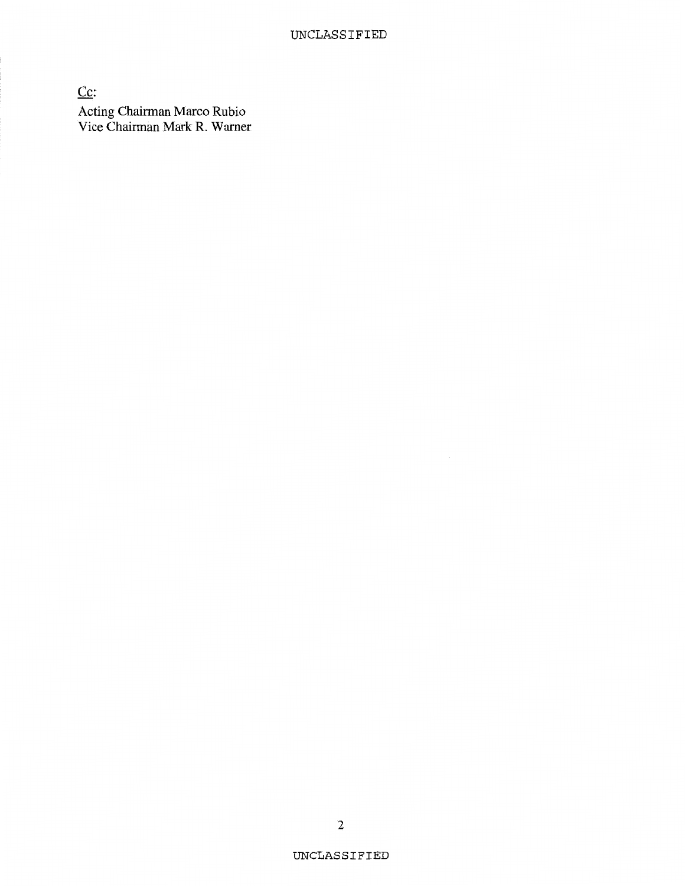Cc: Acting Chairman Marco Rubio Vice Chairman Mark R. Warner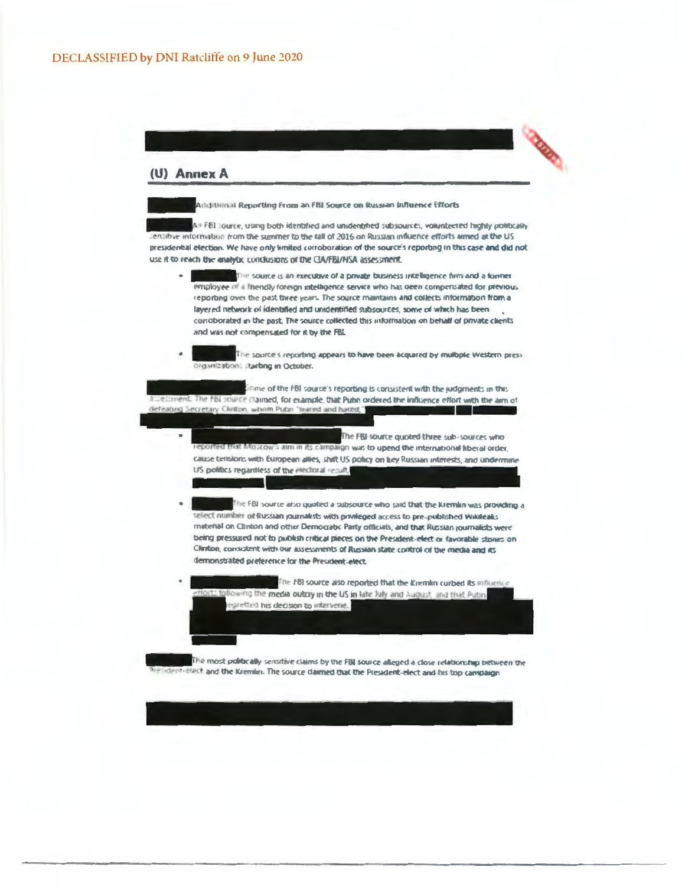## (U) Annex A



Additional Reporting From an FBI Source on Russian Influence Efforts

An FEI cource, using both identified and unidentified subsources, volunteered highly politically ientifive information from the summer to the fall of 2016 on Russian influence efforts aimed at the US presidential election. We have only limited corroboration of the source's reporting in this case and did not use it to reach the analytic condusions of the CIA/FBI/NSA assessment.

- The source is an executive of a private business intelligence firm and a former employee of a friendly foreign intelligence service who has been compensated for previous reporting over the past three years. The source maintains and collects information from a layered network of identified and unidentified subsources, some of which has been corroborated in the past. The source collected this information on behalf of private clients and was not compensated for it by the FBL
- The source's reporting appears to have been acquired by multiple Western press. organization: starbng in October.

Etime of the FBI source's reporting is consistent with the judgments in this becoment. The FBI source claimed, for example, that Putin ordered the influence effort with the aim of defeating Secretary Clinton, whom Pubn 'feared and hated,"

> The FBI source quoted three sub-sources who eported that Moscow's aim in its campaign was to upend the international liberal order. cause tensions with European allies, shift US policy on key Russian interests, and undermine US politics regardless of the electoral result,

- The FBI source also quoted a subsource who said that the Kremlin was providing a select number of Russian journalists with privileged access to pre-published Wikileaks material on Clinton and other Democratic Party officials, and that Russian journalists were being pressured not to publish critical pieces on the President-elect or favorable stones on Clinton, consistent with our assessments of Russian state control of the media and its demonstrated preference for the President-elect.
- The FBI source also reported that the Kremlin curbed its influence to following the media outcry in the US in late July and August, and that Puton regretted his decision to intervene.

The most politically sensitive claims by the FBI source alleged a close relationship between the dent-elect and the Kremim. The source claimed that the President-elect and his top campaign